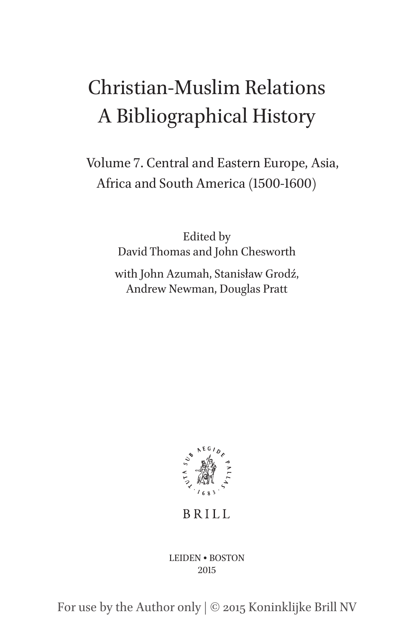# Christian-Muslim Relations A Bibliographical History

Volume 7. Central and Eastern Europe, Asia, Africa and South America (1500-1600)

> Edited by David Thomas and John Chesworth with John Azumah, Stanisław Grodź,

Andrew Newman, Douglas Pratt



**BRILL** 

LEIDEN • BOSTON 2015

For use by the Author only | © 2015 Koninklijke Brill NV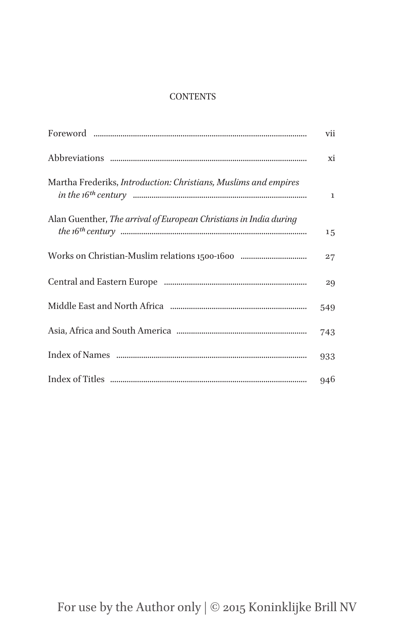# **CONTENTS**

|                                                                   | vii          |
|-------------------------------------------------------------------|--------------|
|                                                                   | xi           |
| Martha Frederiks, Introduction: Christians, Muslims and empires   | $\mathbf{1}$ |
| Alan Guenther, The arrival of European Christians in India during | 15           |
|                                                                   | 27           |
|                                                                   | 29           |
|                                                                   | 549          |
|                                                                   | 743          |
|                                                                   | 933          |
|                                                                   | 946          |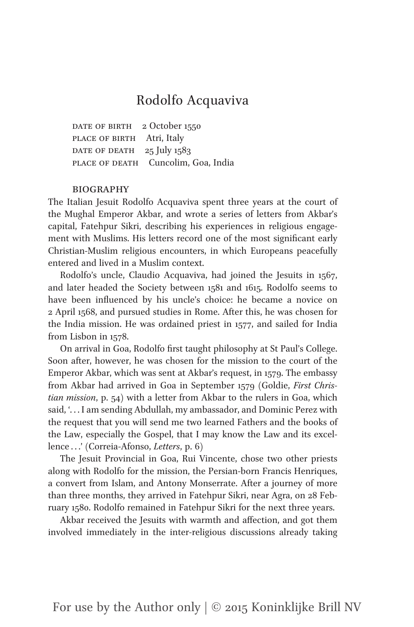# Rodolfo Acquaviva

DATE OF BIRTH 2 October 1550 PLACE OF BIRTH Atri, Italy DATE OF DEATH  $25$  July 1583 PLACE OF DEATH Cuncolim, Goa, India

## **BIOGRAPHY**

The Italian Jesuit Rodolfo Acquaviva spent three years at the court of the Mughal Emperor Akbar, and wrote a series of letters from Akbar's capital, Fatehpur Sikri, describing his experiences in religious engagement with Muslims. His letters record one of the most significant early Christian-Muslim religious encounters, in which Europeans peacefully entered and lived in a Muslim context.

Rodolfo's uncle, Claudio Acquaviva, had joined the Jesuits in 1567, and later headed the Society between 1581 and 1615. Rodolfo seems to have been influenced by his uncle's choice: he became a novice on 2 April 1568, and pursued studies in Rome. After this, he was chosen for the India mission. He was ordained priest in 1577, and sailed for India from Lisbon in 1578.

On arrival in Goa, Rodolfo first taught philosophy at St Paul's College. Soon after, however, he was chosen for the mission to the court of the Emperor Akbar, which was sent at Akbar's request, in 1579. The embassy from Akbar had arrived in Goa in September 1579 (Goldie, *First Christian mission*, p. 54) with a letter from Akbar to the rulers in Goa, which said, '. . . I am sending Abdullah, my ambassador, and Dominic Perez with the request that you will send me two learned Fathers and the books of the Law, especially the Gospel, that I may know the Law and its excellence . . .' (Correia-Afonso, *Letters*, p. 6)

The Jesuit Provincial in Goa, Rui Vincente, chose two other priests along with Rodolfo for the mission, the Persian-born Francis Henriques, a convert from Islam, and Antony Monserrate. After a journey of more than three months, they arrived in Fatehpur Sikri, near Agra, on 28 February 1580. Rodolfo remained in Fatehpur Sikri for the next three years.

Akbar received the Jesuits with warmth and affection, and got them involved immediately in the inter-religious discussions already taking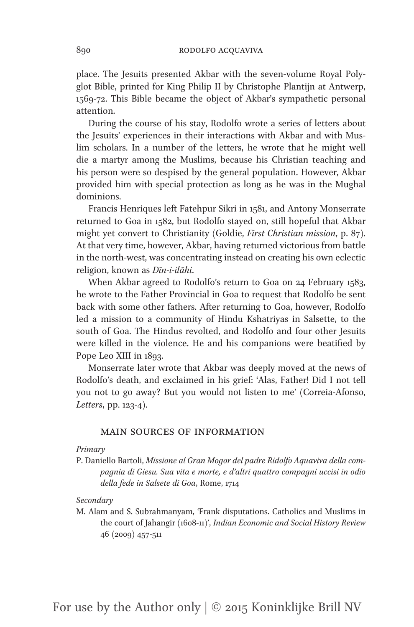place. The Jesuits presented Akbar with the seven-volume Royal Polyglot Bible, printed for King Philip II by Christophe Plantijn at Antwerp, 1569-72. This Bible became the object of Akbar's sympathetic personal attention.

During the course of his stay, Rodolfo wrote a series of letters about the Jesuits' experiences in their interactions with Akbar and with Muslim scholars. In a number of the letters, he wrote that he might well die a martyr among the Muslims, because his Christian teaching and his person were so despised by the general population. However, Akbar provided him with special protection as long as he was in the Mughal dominions.

Francis Henriques left Fatehpur Sikri in 1581, and Antony Monserrate returned to Goa in 1582, but Rodolfo stayed on, still hopeful that Akbar might yet convert to Christianity (Goldie, *First Christian mission*, p. 87). At that very time, however, Akbar, having returned victorious from battle in the north-west, was concentrating instead on creating his own eclectic religion, known as *Dīn-i-ilāhi*.

When Akbar agreed to Rodolfo's return to Goa on 24 February 1583, he wrote to the Father Provincial in Goa to request that Rodolfo be sent back with some other fathers. After returning to Goa, however, Rodolfo led a mission to a community of Hindu Kshatriyas in Salsette, to the south of Goa. The Hindus revolted, and Rodolfo and four other Jesuits were killed in the violence. He and his companions were beatified by Pope Leo XIII in 1893.

Monserrate later wrote that Akbar was deeply moved at the news of Rodolfo's death, and exclaimed in his grief: 'Alas, Father! Did I not tell you not to go away? But you would not listen to me' (Correia-Afonso, *Letters*, pp. 123-4).

## MAIN SOURCES OF INFORMATION

#### *Primary*

P. Daniello Bartoli, *Missione al Gran Mogor del padre Ridolfo Aquaviva della compagnia di Giesu. Sua vita e morte, e d'altri quattro compagni uccisi in odio della fede in Salsete di Goa*, Rome, 1714

#### *Secondary*

M. Alam and S. Subrahmanyam, 'Frank disputations. Catholics and Muslims in the court of Jahangir (1608-11)', *Indian Economic and Social History Review* 46 (2009) 457-511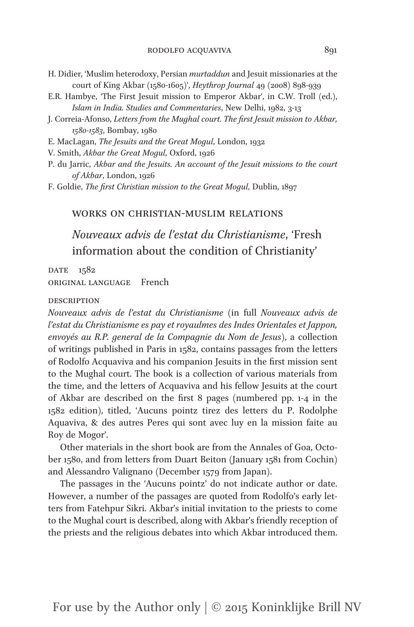- H. Didier, 'Muslim heterodoxy, Persian *murtaddun* and Jesuit missionaries at the court of King Akbar (1580-1605)', *Heythrop Journal* 49 (2008) 898-939
- E.R. Hambye, 'The First Jesuit mission to Emperor Akbar', in C.W. Troll (ed.), *Islam in India. Studies and Commentaries*, New Delhi, 1982, 3-13
- J. Correia-Afonso, *Letters from the Mughal court. The first Jesuit mission to Akbar, 1580-1583*, Bombay, 1980
- E. MacLagan, *The Jesuits and the Great Mogul*, London, 1932
- V. Smith, *Akbar the Great Mogul*, Oxford, 1926
- P. du Jarric, *Akbar and the Jesuits. An account of the Jesuit missions to the court of Akbar*, London, 1926
- F. Goldie, *The first Christian mission to the Great Mogul*, Dublin, 1897

# Works on Christian-Muslim Relations

*Nouveaux advis de l'estat du Christianisme*, 'Fresh information about the condition of Christianity'

DATE 1582 Original Language French

#### **DESCRIPTION**

*Nouveaux advis de l'estat du Christianisme* (in full *Nouveaux advis de l'estat du Christianisme es pay et royaulmes des Indes Orientales et Jappon, envoyés au R.P. general de la Compagnie du Nom de Jesus*), a collection of writings published in Paris in 1582, contains passages from the letters of Rodolfo Acquaviva and his companion Jesuits in the first mission sent to the Mughal court. The book is a collection of various materials from the time, and the letters of Acquaviva and his fellow Jesuits at the court of Akbar are described on the first 8 pages (numbered pp. 1-4 in the 1582 edition), titled, 'Aucuns pointz tirez des letters du P. Rodolphe Aquaviva, & des autres Peres qui sont avec luy en la mission faite au Roy de Mogor'.

Other materials in the short book are from the Annales of Goa, October 1580, and from letters from Duart Beiton (January 1581 from Cochin) and Alessandro Valignano (December 1579 from Japan).

The passages in the 'Aucuns pointz' do not indicate author or date. However, a number of the passages are quoted from Rodolfo's early letters from Fatehpur Sikri. Akbar's initial invitation to the priests to come to the Mughal court is described, along with Akbar's friendly reception of the priests and the religious debates into which Akbar introduced them.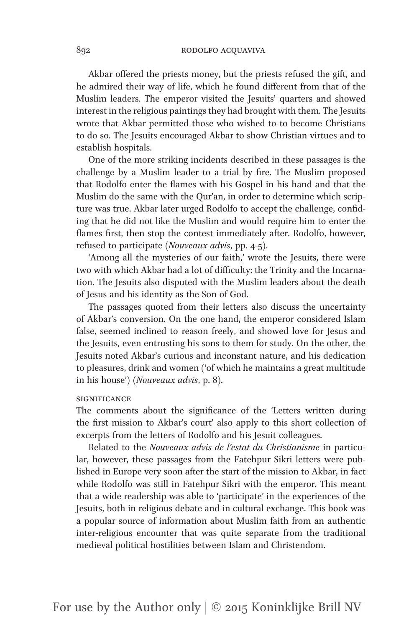Akbar offered the priests money, but the priests refused the gift, and he admired their way of life, which he found different from that of the Muslim leaders. The emperor visited the Jesuits' quarters and showed interest in the religious paintings they had brought with them. The Jesuits wrote that Akbar permitted those who wished to to become Christians to do so. The Jesuits encouraged Akbar to show Christian virtues and to establish hospitals.

One of the more striking incidents described in these passages is the challenge by a Muslim leader to a trial by fire. The Muslim proposed that Rodolfo enter the flames with his Gospel in his hand and that the Muslim do the same with the Qur'an, in order to determine which scripture was true. Akbar later urged Rodolfo to accept the challenge, confiding that he did not like the Muslim and would require him to enter the flames first, then stop the contest immediately after. Rodolfo, however, refused to participate (*Nouveaux advis*, pp. 4-5).

'Among all the mysteries of our faith,' wrote the Jesuits, there were two with which Akbar had a lot of difficulty: the Trinity and the Incarnation. The Jesuits also disputed with the Muslim leaders about the death of Jesus and his identity as the Son of God.

The passages quoted from their letters also discuss the uncertainty of Akbar's conversion. On the one hand, the emperor considered Islam false, seemed inclined to reason freely, and showed love for Jesus and the Jesuits, even entrusting his sons to them for study. On the other, the Jesuits noted Akbar's curious and inconstant nature, and his dedication to pleasures, drink and women ('of which he maintains a great multitude in his house') (*Nouveaux advis*, p. 8).

#### **SIGNIFICANCE**

The comments about the significance of the 'Letters written during the first mission to Akbar's court' also apply to this short collection of excerpts from the letters of Rodolfo and his Jesuit colleagues.

Related to the *Nouveaux advis de l'estat du Christianisme* in particular, however, these passages from the Fatehpur Sikri letters were published in Europe very soon after the start of the mission to Akbar, in fact while Rodolfo was still in Fatehpur Sikri with the emperor. This meant that a wide readership was able to 'participate' in the experiences of the Jesuits, both in religious debate and in cultural exchange. This book was a popular source of information about Muslim faith from an authentic inter-religious encounter that was quite separate from the traditional medieval political hostilities between Islam and Christendom.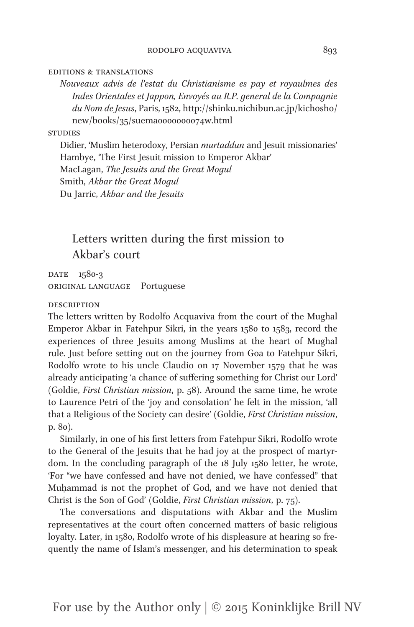#### Editions & Translations

*Nouveaux advis de l'estat du Christianisme es pay et royaulmes des Indes Orientales et Jappon, Envoyés au R.P. general de la Compagnie du Nom de Jesus*, Paris, 1582, http://shinku.nichibun.ac.jp/kichosho/ new/books/35/suema0000000074w.html

#### **STUDIES**

Didier, 'Muslim heterodoxy, Persian *murtaddun* and Jesuit missionaries' Hambye, 'The First Jesuit mission to Emperor Akbar' MacLagan, *The Jesuits and the Great Mogul* Smith, *Akbar the Great Mogul* Du Jarric, *Akbar and the Jesuits*

# Letters written during the first mission to Akbar's court

DATE 1580-3 Original Language Portuguese

#### **DESCRIPTION**

The letters written by Rodolfo Acquaviva from the court of the Mughal Emperor Akbar in Fatehpur Sikri, in the years 1580 to 1583, record the experiences of three Jesuits among Muslims at the heart of Mughal rule. Just before setting out on the journey from Goa to Fatehpur Sikri, Rodolfo wrote to his uncle Claudio on 17 November 1579 that he was already anticipating 'a chance of suffering something for Christ our Lord' (Goldie, *First Christian mission*, p. 58). Around the same time, he wrote to Laurence Petri of the 'joy and consolation' he felt in the mission, 'all that a Religious of the Society can desire' (Goldie, *First Christian mission*, p. 80).

Similarly, in one of his first letters from Fatehpur Sikri, Rodolfo wrote to the General of the Jesuits that he had joy at the prospect of martyrdom. In the concluding paragraph of the 18 July 1580 letter, he wrote, 'For "we have confessed and have not denied, we have confessed" that Muḥammad is not the prophet of God, and we have not denied that Christ is the Son of God' (Goldie, *First Christian mission*, p. 75).

The conversations and disputations with Akbar and the Muslim representatives at the court often concerned matters of basic religious loyalty. Later, in 1580, Rodolfo wrote of his displeasure at hearing so frequently the name of Islam's messenger, and his determination to speak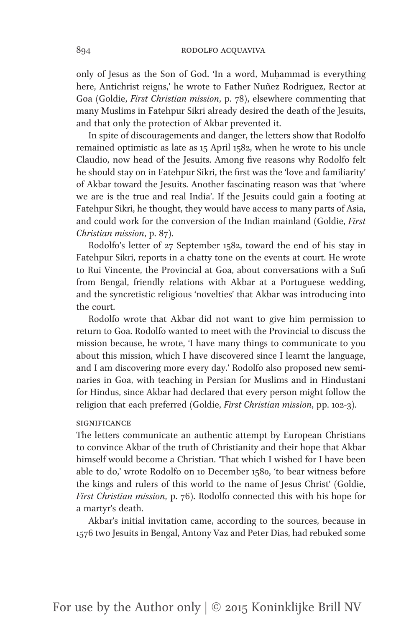only of Jesus as the Son of God. 'In a word, Muḥammad is everything here, Antichrist reigns,' he wrote to Father Nuñez Rodriguez, Rector at Goa (Goldie, *First Christian mission*, p. 78), elsewhere commenting that many Muslims in Fatehpur Sikri already desired the death of the Jesuits, and that only the protection of Akbar prevented it.

In spite of discouragements and danger, the letters show that Rodolfo remained optimistic as late as 15 April 1582, when he wrote to his uncle Claudio, now head of the Jesuits. Among five reasons why Rodolfo felt he should stay on in Fatehpur Sikri, the first was the 'love and familiarity' of Akbar toward the Jesuits. Another fascinating reason was that 'where we are is the true and real India'. If the Jesuits could gain a footing at Fatehpur Sikri, he thought, they would have access to many parts of Asia, and could work for the conversion of the Indian mainland (Goldie, *First Christian mission*, p. 87).

Rodolfo's letter of 27 September 1582, toward the end of his stay in Fatehpur Sikri, reports in a chatty tone on the events at court. He wrote to Rui Vincente, the Provincial at Goa, about conversations with a Sufi from Bengal, friendly relations with Akbar at a Portuguese wedding, and the syncretistic religious 'novelties' that Akbar was introducing into the court.

Rodolfo wrote that Akbar did not want to give him permission to return to Goa. Rodolfo wanted to meet with the Provincial to discuss the mission because, he wrote, 'I have many things to communicate to you about this mission, which I have discovered since I learnt the language, and I am discovering more every day.' Rodolfo also proposed new seminaries in Goa, with teaching in Persian for Muslims and in Hindustani for Hindus, since Akbar had declared that every person might follow the religion that each preferred (Goldie, *First Christian mission*, pp. 102-3).

## **SIGNIFICANCE**

The letters communicate an authentic attempt by European Christians to convince Akbar of the truth of Christianity and their hope that Akbar himself would become a Christian. 'That which I wished for I have been able to do,' wrote Rodolfo on 10 December 1580, 'to bear witness before the kings and rulers of this world to the name of Jesus Christ' (Goldie, *First Christian mission*, p. 76). Rodolfo connected this with his hope for a martyr's death.

Akbar's initial invitation came, according to the sources, because in 1576 two Jesuits in Bengal, Antony Vaz and Peter Dias, had rebuked some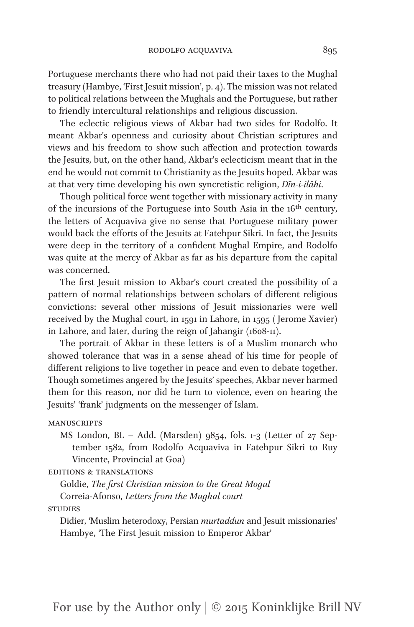Portuguese merchants there who had not paid their taxes to the Mughal treasury (Hambye, 'First Jesuit mission', p. 4). The mission was not related to political relations between the Mughals and the Portuguese, but rather to friendly intercultural relationships and religious discussion.

The eclectic religious views of Akbar had two sides for Rodolfo. It meant Akbar's openness and curiosity about Christian scriptures and views and his freedom to show such affection and protection towards the Jesuits, but, on the other hand, Akbar's eclecticism meant that in the end he would not commit to Christianity as the Jesuits hoped. Akbar was at that very time developing his own syncretistic religion, *Dīn-i-ilāhi*.

Though political force went together with missionary activity in many of the incursions of the Portuguese into South Asia in the 16<sup>th</sup> century, the letters of Acquaviva give no sense that Portuguese military power would back the efforts of the Jesuits at Fatehpur Sikri. In fact, the Jesuits were deep in the territory of a confident Mughal Empire, and Rodolfo was quite at the mercy of Akbar as far as his departure from the capital was concerned.

The first Jesuit mission to Akbar's court created the possibility of a pattern of normal relationships between scholars of different religious convictions: several other missions of Jesuit missionaries were well received by the Mughal court, in 1591 in Lahore, in 1595 ( Jerome Xavier) in Lahore, and later, during the reign of Jahangir (1608-11).

The portrait of Akbar in these letters is of a Muslim monarch who showed tolerance that was in a sense ahead of his time for people of different religions to live together in peace and even to debate together. Though sometimes angered by the Jesuits' speeches, Akbar never harmed them for this reason, nor did he turn to violence, even on hearing the Jesuits' 'frank' judgments on the messenger of Islam.

#### **MANUSCRIPTS**

MS London, BL – Add. (Marsden) 9854, fols. 1-3 (Letter of 27 September 1582, from Rodolfo Acquaviva in Fatehpur Sikri to Ruy Vincente, Provincial at Goa)

## Editions & Translations

Goldie, *The first Christian mission to the Great Mogul* Correia-Afonso, *Letters from the Mughal court*

**STUDIES** 

Didier, 'Muslim heterodoxy, Persian *murtaddun* and Jesuit missionaries' Hambye, 'The First Jesuit mission to Emperor Akbar'